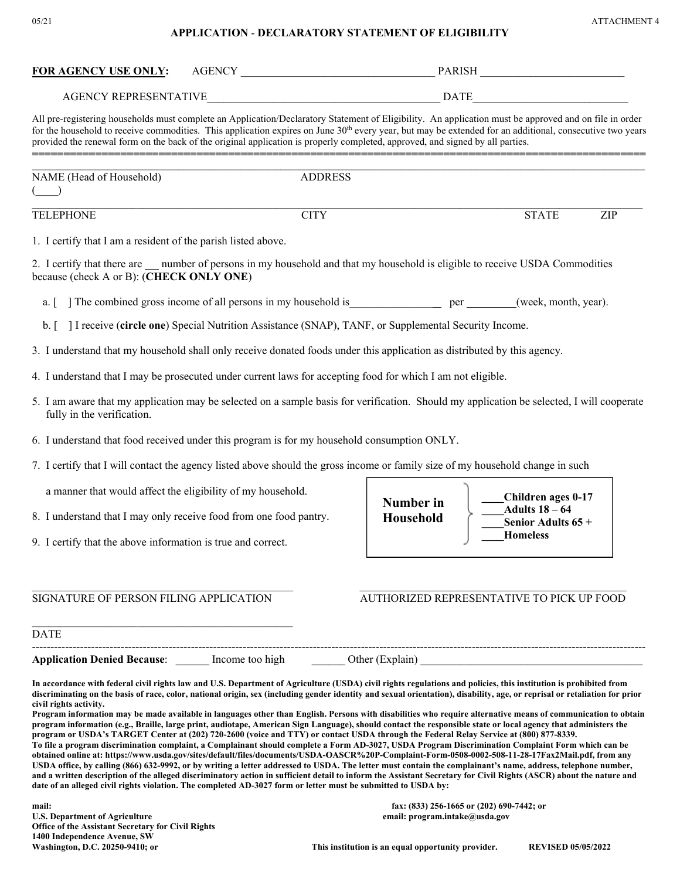## **APPLICATION** - **DECLARATORY STATEMENT OF ELIGIBILITY**

| 05/21 | <b>ATTACHMENT 4</b> |
|-------|---------------------|
|-------|---------------------|

| <b>FOR AGENCY USE ONLY:</b>                                                                                                                                                                                                                                                                                                                                                                                                                                                                                                                                                                                                                                                                                                                                                                                                                                                                                                                                                                                                                                                                                                                                                                                                                                                                                                     |                | AGENCY PARISH |                                                                                                                                                                    |  |  |  |
|---------------------------------------------------------------------------------------------------------------------------------------------------------------------------------------------------------------------------------------------------------------------------------------------------------------------------------------------------------------------------------------------------------------------------------------------------------------------------------------------------------------------------------------------------------------------------------------------------------------------------------------------------------------------------------------------------------------------------------------------------------------------------------------------------------------------------------------------------------------------------------------------------------------------------------------------------------------------------------------------------------------------------------------------------------------------------------------------------------------------------------------------------------------------------------------------------------------------------------------------------------------------------------------------------------------------------------|----------------|---------------|--------------------------------------------------------------------------------------------------------------------------------------------------------------------|--|--|--|
|                                                                                                                                                                                                                                                                                                                                                                                                                                                                                                                                                                                                                                                                                                                                                                                                                                                                                                                                                                                                                                                                                                                                                                                                                                                                                                                                 |                |               |                                                                                                                                                                    |  |  |  |
| All pre-registering households must complete an Application/Declaratory Statement of Eligibility. An application must be approved and on file in order<br>for the household to receive commodities. This application expires on June 30 <sup>th</sup> every year, but may be extended for an additional, consecutive two years<br>provided the renewal form on the back of the original application is properly completed, approved, and signed by all parties.                                                                                                                                                                                                                                                                                                                                                                                                                                                                                                                                                                                                                                                                                                                                                                                                                                                                 |                |               |                                                                                                                                                                    |  |  |  |
| NAME (Head of Household)                                                                                                                                                                                                                                                                                                                                                                                                                                                                                                                                                                                                                                                                                                                                                                                                                                                                                                                                                                                                                                                                                                                                                                                                                                                                                                        | <b>ADDRESS</b> |               |                                                                                                                                                                    |  |  |  |
| <b>TELEPHONE</b>                                                                                                                                                                                                                                                                                                                                                                                                                                                                                                                                                                                                                                                                                                                                                                                                                                                                                                                                                                                                                                                                                                                                                                                                                                                                                                                |                | <b>STATE</b>  | ZIP                                                                                                                                                                |  |  |  |
| 1. I certify that I am a resident of the parish listed above.                                                                                                                                                                                                                                                                                                                                                                                                                                                                                                                                                                                                                                                                                                                                                                                                                                                                                                                                                                                                                                                                                                                                                                                                                                                                   |                |               |                                                                                                                                                                    |  |  |  |
| 2. I certify that there are ___ number of persons in my household and that my household is eligible to receive USDA Commodities<br>because (check A or B): (CHECK ONLY ONE)                                                                                                                                                                                                                                                                                                                                                                                                                                                                                                                                                                                                                                                                                                                                                                                                                                                                                                                                                                                                                                                                                                                                                     |                |               |                                                                                                                                                                    |  |  |  |
| The combined gross income of all persons in my household is _____________________(week, month, year).<br>a.                                                                                                                                                                                                                                                                                                                                                                                                                                                                                                                                                                                                                                                                                                                                                                                                                                                                                                                                                                                                                                                                                                                                                                                                                     |                |               |                                                                                                                                                                    |  |  |  |
| I receive (circle one) Special Nutrition Assistance (SNAP), TANF, or Supplemental Security Income.<br>$\mathbf{b}$ . $\mathbf{r}$                                                                                                                                                                                                                                                                                                                                                                                                                                                                                                                                                                                                                                                                                                                                                                                                                                                                                                                                                                                                                                                                                                                                                                                               |                |               |                                                                                                                                                                    |  |  |  |
| 3. I understand that my household shall only receive donated foods under this application as distributed by this agency.                                                                                                                                                                                                                                                                                                                                                                                                                                                                                                                                                                                                                                                                                                                                                                                                                                                                                                                                                                                                                                                                                                                                                                                                        |                |               |                                                                                                                                                                    |  |  |  |
| 4. I understand that I may be prosecuted under current laws for accepting food for which I am not eligible.                                                                                                                                                                                                                                                                                                                                                                                                                                                                                                                                                                                                                                                                                                                                                                                                                                                                                                                                                                                                                                                                                                                                                                                                                     |                |               |                                                                                                                                                                    |  |  |  |
| 5. I am aware that my application may be selected on a sample basis for verification. Should my application be selected, I will cooperate<br>fully in the verification.                                                                                                                                                                                                                                                                                                                                                                                                                                                                                                                                                                                                                                                                                                                                                                                                                                                                                                                                                                                                                                                                                                                                                         |                |               |                                                                                                                                                                    |  |  |  |
| 6. I understand that food received under this program is for my household consumption ONLY.                                                                                                                                                                                                                                                                                                                                                                                                                                                                                                                                                                                                                                                                                                                                                                                                                                                                                                                                                                                                                                                                                                                                                                                                                                     |                |               |                                                                                                                                                                    |  |  |  |
| 7. I certify that I will contact the agency listed above should the gross income or family size of my household change in such                                                                                                                                                                                                                                                                                                                                                                                                                                                                                                                                                                                                                                                                                                                                                                                                                                                                                                                                                                                                                                                                                                                                                                                                  |                |               |                                                                                                                                                                    |  |  |  |
| a manner that would affect the eligibility of my household.                                                                                                                                                                                                                                                                                                                                                                                                                                                                                                                                                                                                                                                                                                                                                                                                                                                                                                                                                                                                                                                                                                                                                                                                                                                                     |                | Number in     | Children ages 0-17<br>Adults $18-64$                                                                                                                               |  |  |  |
| 8. I understand that I may only receive food from one food pantry.                                                                                                                                                                                                                                                                                                                                                                                                                                                                                                                                                                                                                                                                                                                                                                                                                                                                                                                                                                                                                                                                                                                                                                                                                                                              |                | Household     | Senior Adults 65 +                                                                                                                                                 |  |  |  |
| 9. I certify that the above information is true and correct.                                                                                                                                                                                                                                                                                                                                                                                                                                                                                                                                                                                                                                                                                                                                                                                                                                                                                                                                                                                                                                                                                                                                                                                                                                                                    |                |               | <b>Homeless</b>                                                                                                                                                    |  |  |  |
|                                                                                                                                                                                                                                                                                                                                                                                                                                                                                                                                                                                                                                                                                                                                                                                                                                                                                                                                                                                                                                                                                                                                                                                                                                                                                                                                 |                |               |                                                                                                                                                                    |  |  |  |
| SIGNATURE OF PERSON FILING APPLICATION                                                                                                                                                                                                                                                                                                                                                                                                                                                                                                                                                                                                                                                                                                                                                                                                                                                                                                                                                                                                                                                                                                                                                                                                                                                                                          |                |               | AUTHORIZED REPRESENTATIVE TO PICK UP FOOD                                                                                                                          |  |  |  |
| <b>DATE</b>                                                                                                                                                                                                                                                                                                                                                                                                                                                                                                                                                                                                                                                                                                                                                                                                                                                                                                                                                                                                                                                                                                                                                                                                                                                                                                                     |                |               |                                                                                                                                                                    |  |  |  |
| Application Denied Because: <u>[16] Income too high [16] Other (Explain</u> ) <u>[16] Community of the Secaration Denied Because:</u>                                                                                                                                                                                                                                                                                                                                                                                                                                                                                                                                                                                                                                                                                                                                                                                                                                                                                                                                                                                                                                                                                                                                                                                           |                |               |                                                                                                                                                                    |  |  |  |
| In accordance with federal civil rights law and U.S. Department of Agriculture (USDA) civil rights regulations and policies, this institution is prohibited from<br>discriminating on the basis of race, color, national origin, sex (including gender identity and sexual orientation), disability, age, or reprisal or retaliation for prior<br>civil rights activity.<br>Program information may be made available in languages other than English. Persons with disabilities who require alternative means of communication to obtain<br>program information (e.g., Braille, large print, audiotape, American Sign Language), should contact the responsible state or local agency that administers the<br>program or USDA's TARGET Center at (202) 720-2600 (voice and TTY) or contact USDA through the Federal Relay Service at (800) 877-8339.<br>To file a program discrimination complaint, a Complainant should complete a Form AD-3027, USDA Program Discrimination Complaint Form which can be<br>obtained online at: https://www.usda.gov/sites/default/files/documents/USDA-OASCR%20P-Complaint-Form-0508-0002-508-11-28-17Fax2Mail.pdf, from any<br>USDA office, by calling (866) 632-9992, or by writing a letter addressed to USDA. The letter must contain the complainant's name, address, telephone number, |                |               | and a written description of the alleged discriminatory action in sufficient detail to inform the Assistant Secretary for Civil Rights (ASCR) about the nature and |  |  |  |

**mail: fax: (833) 256-1665 or (202) 690-7442; or Office of the Assistant Secretary for Civil Rights 1400 Independence Avenue, SW**  Washington, D.C. 20250-9410; or **This institution is an equal opportunity provider.** REVISED 05/05/2022

**U.S. Department of Agriculture email: program.intake@usda.gov**